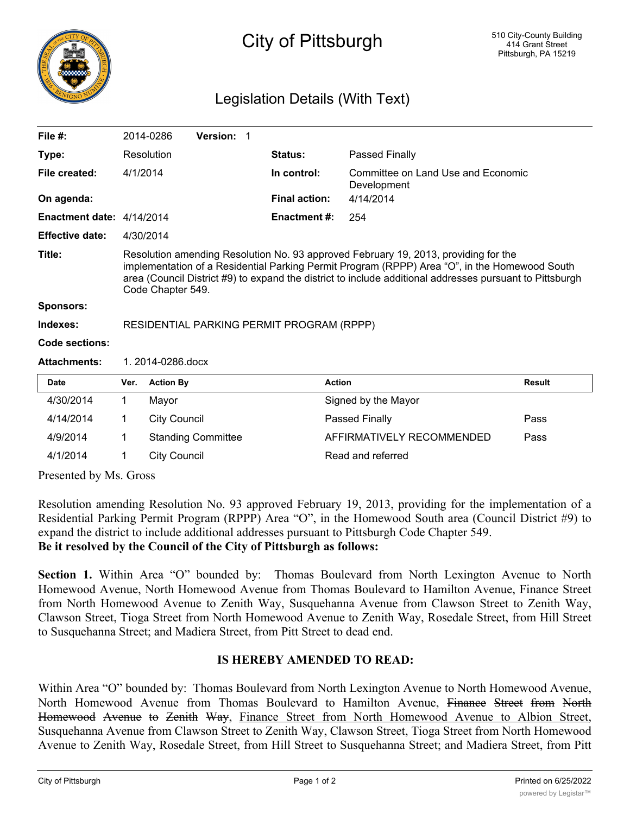

## City of Pittsburgh

## Legislation Details (With Text)

| File $#$ :                |                                                                                                                                                                                                                                                                                                                       | 2014-0286           | Version: 1                |                      |                           |                                    |  |
|---------------------------|-----------------------------------------------------------------------------------------------------------------------------------------------------------------------------------------------------------------------------------------------------------------------------------------------------------------------|---------------------|---------------------------|----------------------|---------------------------|------------------------------------|--|
| Type:                     |                                                                                                                                                                                                                                                                                                                       | Resolution          |                           | <b>Status:</b>       | Passed Finally            |                                    |  |
| File created:             | 4/1/2014                                                                                                                                                                                                                                                                                                              |                     |                           | In control:          | Development               | Committee on Land Use and Economic |  |
| On agenda:                |                                                                                                                                                                                                                                                                                                                       |                     |                           | <b>Final action:</b> | 4/14/2014                 |                                    |  |
| Enactment date: 4/14/2014 |                                                                                                                                                                                                                                                                                                                       |                     |                           | <b>Enactment #:</b>  | 254                       |                                    |  |
| <b>Effective date:</b>    | 4/30/2014                                                                                                                                                                                                                                                                                                             |                     |                           |                      |                           |                                    |  |
| Title:                    | Resolution amending Resolution No. 93 approved February 19, 2013, providing for the<br>implementation of a Residential Parking Permit Program (RPPP) Area "O", in the Homewood South<br>area (Council District #9) to expand the district to include additional addresses pursuant to Pittsburgh<br>Code Chapter 549. |                     |                           |                      |                           |                                    |  |
| Sponsors:                 |                                                                                                                                                                                                                                                                                                                       |                     |                           |                      |                           |                                    |  |
| Indexes:                  | RESIDENTIAL PARKING PERMIT PROGRAM (RPPP)                                                                                                                                                                                                                                                                             |                     |                           |                      |                           |                                    |  |
| Code sections:            |                                                                                                                                                                                                                                                                                                                       |                     |                           |                      |                           |                                    |  |
| <b>Attachments:</b>       | 1.2014-0286.docx                                                                                                                                                                                                                                                                                                      |                     |                           |                      |                           |                                    |  |
| <b>Date</b>               | Ver.                                                                                                                                                                                                                                                                                                                  | <b>Action By</b>    |                           |                      | <b>Action</b>             | <b>Result</b>                      |  |
| 4/30/2014                 | $\mathbf 1$                                                                                                                                                                                                                                                                                                           | Mayor               |                           |                      | Signed by the Mayor       |                                    |  |
| 4/14/2014                 | 1.                                                                                                                                                                                                                                                                                                                    | <b>City Council</b> |                           |                      | Passed Finally            | Pass                               |  |
| 4/9/2014                  | 1.                                                                                                                                                                                                                                                                                                                    |                     | <b>Standing Committee</b> |                      | AFFIRMATIVELY RECOMMENDED | Pass                               |  |
| 4/1/2014                  | 1                                                                                                                                                                                                                                                                                                                     | <b>City Council</b> |                           |                      | Read and referred         |                                    |  |
| Drogontod by $M_0$ Cross  |                                                                                                                                                                                                                                                                                                                       |                     |                           |                      |                           |                                    |  |

Presented by Ms. Gross

Resolution amending Resolution No. 93 approved February 19, 2013, providing for the implementation of a Residential Parking Permit Program (RPPP) Area "O", in the Homewood South area (Council District #9) to expand the district to include additional addresses pursuant to Pittsburgh Code Chapter 549. **Be it resolved by the Council of the City of Pittsburgh as follows:**

**Section 1.** Within Area "O" bounded by: Thomas Boulevard from North Lexington Avenue to North Homewood Avenue, North Homewood Avenue from Thomas Boulevard to Hamilton Avenue, Finance Street from North Homewood Avenue to Zenith Way, Susquehanna Avenue from Clawson Street to Zenith Way, Clawson Street, Tioga Street from North Homewood Avenue to Zenith Way, Rosedale Street, from Hill Street to Susquehanna Street; and Madiera Street, from Pitt Street to dead end.

## **IS HEREBY AMENDED TO READ:**

Within Area "O" bounded by: Thomas Boulevard from North Lexington Avenue to North Homewood Avenue, North Homewood Avenue from Thomas Boulevard to Hamilton Avenue, Finance Street from North Homewood Avenue to Zenith Way, Finance Street from North Homewood Avenue to Albion Street, Susquehanna Avenue from Clawson Street to Zenith Way, Clawson Street, Tioga Street from North Homewood Avenue to Zenith Way, Rosedale Street, from Hill Street to Susquehanna Street; and Madiera Street, from Pitt